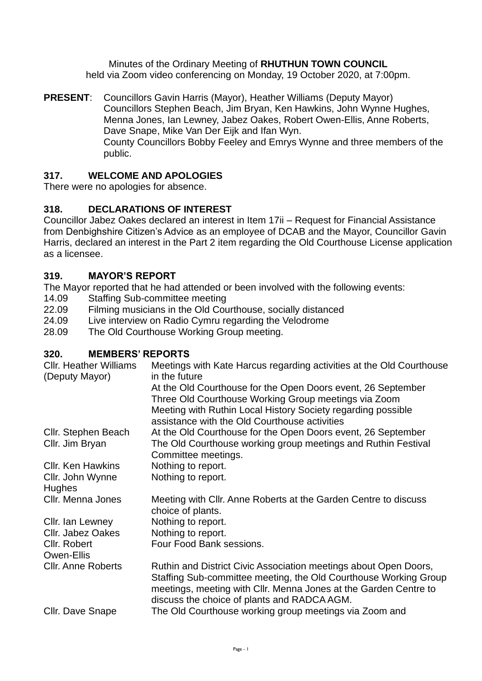Minutes of the Ordinary Meeting of **RHUTHUN TOWN COUNCIL** held via Zoom video conferencing on Monday, 19 October 2020, at 7:00pm.

**PRESENT**: Councillors Gavin Harris (Mayor), Heather Williams (Deputy Mayor) Councillors Stephen Beach, Jim Bryan, Ken Hawkins, John Wynne Hughes, Menna Jones, Ian Lewney, Jabez Oakes, Robert Owen-Ellis, Anne Roberts, Dave Snape, Mike Van Der Eijk and Ifan Wyn. County Councillors Bobby Feeley and Emrys Wynne and three members of the public.

# **317. WELCOME AND APOLOGIES**

There were no apologies for absence.

# **318. DECLARATIONS OF INTEREST**

Councillor Jabez Oakes declared an interest in Item 17ii – Request for Financial Assistance from Denbighshire Citizen's Advice as an employee of DCAB and the Mayor, Councillor Gavin Harris, declared an interest in the Part 2 item regarding the Old Courthouse License application as a licensee.

### **319. MAYOR'S REPORT**

The Mayor reported that he had attended or been involved with the following events:

- 14.09 Staffing Sub-committee meeting
- 22.09 Filming musicians in the Old Courthouse, socially distanced
- 24.09 Live interview on Radio Cymru regarding the Velodrome
- 28.09 The Old Courthouse Working Group meeting.

### **320. MEMBERS' REPORTS**

| <b>Cllr. Heather Williams</b><br>(Deputy Mayor) | Meetings with Kate Harcus regarding activities at the Old Courthouse<br>in the future                                                                                                                                                                   |
|-------------------------------------------------|---------------------------------------------------------------------------------------------------------------------------------------------------------------------------------------------------------------------------------------------------------|
|                                                 | At the Old Courthouse for the Open Doors event, 26 September<br>Three Old Courthouse Working Group meetings via Zoom<br>Meeting with Ruthin Local History Society regarding possible<br>assistance with the Old Courthouse activities                   |
| Cllr. Stephen Beach                             | At the Old Courthouse for the Open Doors event, 26 September                                                                                                                                                                                            |
| Cllr. Jim Bryan                                 | The Old Courthouse working group meetings and Ruthin Festival<br>Committee meetings.                                                                                                                                                                    |
| <b>CIIr. Ken Hawkins</b>                        | Nothing to report.                                                                                                                                                                                                                                      |
| Cllr. John Wynne<br><b>Hughes</b>               | Nothing to report.                                                                                                                                                                                                                                      |
| Cllr. Menna Jones                               | Meeting with Cllr. Anne Roberts at the Garden Centre to discuss<br>choice of plants.                                                                                                                                                                    |
| Cllr. Ian Lewney                                | Nothing to report.                                                                                                                                                                                                                                      |
| <b>CIIr. Jabez Oakes</b>                        | Nothing to report.                                                                                                                                                                                                                                      |
| Cllr. Robert                                    | Four Food Bank sessions.                                                                                                                                                                                                                                |
| Owen-Ellis                                      |                                                                                                                                                                                                                                                         |
| <b>Cllr. Anne Roberts</b>                       | Ruthin and District Civic Association meetings about Open Doors,<br>Staffing Sub-committee meeting, the Old Courthouse Working Group<br>meetings, meeting with Cllr. Menna Jones at the Garden Centre to<br>discuss the choice of plants and RADCA AGM. |
| Cllr. Dave Snape                                | The Old Courthouse working group meetings via Zoom and                                                                                                                                                                                                  |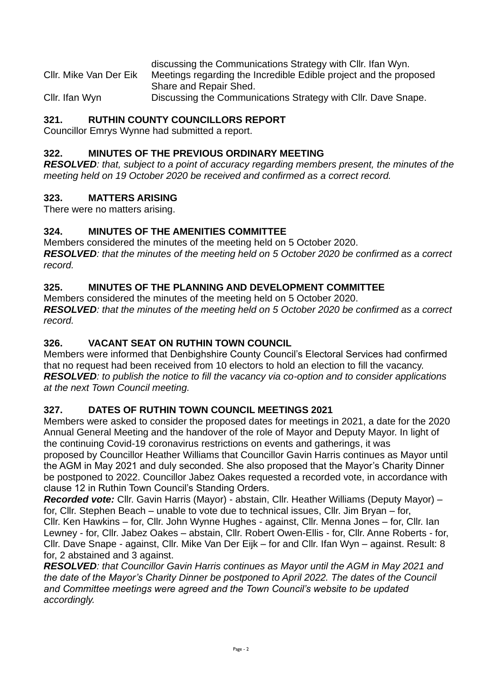discussing the Communications Strategy with Cllr. Ifan Wyn. Cllr. Mike Van Der Eik Meetings regarding the Incredible Edible project and the proposed Share and Repair Shed.

Cllr. Ifan Wyn Discussing the Communications Strategy with Cllr. Dave Snape.

## **321. RUTHIN COUNTY COUNCILLORS REPORT**

Councillor Emrys Wynne had submitted a report.

### **322. MINUTES OF THE PREVIOUS ORDINARY MEETING**

*RESOLVED: that, subject to a point of accuracy regarding members present, the minutes of the meeting held on 19 October 2020 be received and confirmed as a correct record.* 

### **323. MATTERS ARISING**

There were no matters arising.

### **324. MINUTES OF THE AMENITIES COMMITTEE**

Members considered the minutes of the meeting held on 5 October 2020. *RESOLVED: that the minutes of the meeting held on 5 October 2020 be confirmed as a correct record.* 

### **325. MINUTES OF THE PLANNING AND DEVELOPMENT COMMITTEE**

Members considered the minutes of the meeting held on 5 October 2020. *RESOLVED: that the minutes of the meeting held on 5 October 2020 be confirmed as a correct record.* 

### **326. VACANT SEAT ON RUTHIN TOWN COUNCIL**

Members were informed that Denbighshire County Council's Electoral Services had confirmed that no request had been received from 10 electors to hold an election to fill the vacancy. *RESOLVED: to publish the notice to fill the vacancy via co-option and to consider applications at the next Town Council meeting.* 

### **327. DATES OF RUTHIN TOWN COUNCIL MEETINGS 2021**

Members were asked to consider the proposed dates for meetings in 2021, a date for the 2020 Annual General Meeting and the handover of the role of Mayor and Deputy Mayor. In light of the continuing Covid-19 coronavirus restrictions on events and gatherings, it was proposed by Councillor Heather Williams that Councillor Gavin Harris continues as Mayor until the AGM in May 2021 and duly seconded. She also proposed that the Mayor's Charity Dinner be postponed to 2022. Councillor Jabez Oakes requested a recorded vote, in accordance with clause 12 in Ruthin Town Council's Standing Orders.

*Recorded vote:* Cllr. Gavin Harris (Mayor) - abstain, Cllr. Heather Williams (Deputy Mayor) – for, Cllr. Stephen Beach – unable to vote due to technical issues, Cllr. Jim Bryan – for, Cllr. Ken Hawkins – for, Cllr. John Wynne Hughes - against, Cllr. Menna Jones – for, Cllr. Ian Lewney - for, Cllr. Jabez Oakes – abstain, Cllr. Robert Owen-Ellis - for, Cllr. Anne Roberts - for, Cllr. Dave Snape - against, Cllr. Mike Van Der Eijk – for and Cllr. Ifan Wyn – against. Result: 8 for, 2 abstained and 3 against.

*RESOLVED: that Councillor Gavin Harris continues as Mayor until the AGM in May 2021 and the date of the Mayor's Charity Dinner be postponed to April 2022. The dates of the Council and Committee meetings were agreed and the Town Council's website to be updated accordingly.*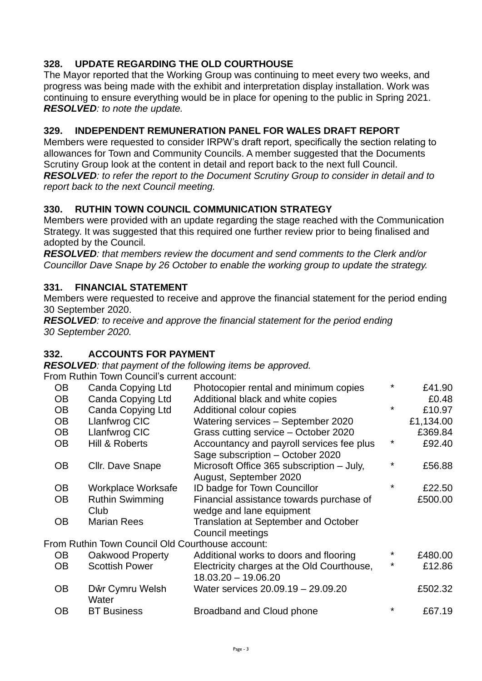## **328. UPDATE REGARDING THE OLD COURTHOUSE**

The Mayor reported that the Working Group was continuing to meet every two weeks, and progress was being made with the exhibit and interpretation display installation. Work was continuing to ensure everything would be in place for opening to the public in Spring 2021. *RESOLVED: to note the update.* 

#### **329. INDEPENDENT REMUNERATION PANEL FOR WALES DRAFT REPORT**

Members were requested to consider IRPW's draft report, specifically the section relating to allowances for Town and Community Councils. A member suggested that the Documents Scrutiny Group look at the content in detail and report back to the next full Council. *RESOLVED: to refer the report to the Document Scrutiny Group to consider in detail and to report back to the next Council meeting.* 

### **330. RUTHIN TOWN COUNCIL COMMUNICATION STRATEGY**

Members were provided with an update regarding the stage reached with the Communication Strategy. It was suggested that this required one further review prior to being finalised and adopted by the Council.

*RESOLVED: that members review the document and send comments to the Clerk and/or Councillor Dave Snape by 26 October to enable the working group to update the strategy.* 

#### **331. FINANCIAL STATEMENT**

Members were requested to receive and approve the financial statement for the period ending 30 September 2020.

*RESOLVED: to receive and approve the financial statement for the period ending 30 September 2020.* 

#### **332. ACCOUNTS FOR PAYMENT**

*RESOLVED: that payment of the following items be approved.*

From Ruthin Town Council's current account:

| <b>OB</b> | Canda Copying Ltd                                | Photocopier rental and minimum copies       | ¥       | £41.90    |
|-----------|--------------------------------------------------|---------------------------------------------|---------|-----------|
| <b>OB</b> | <b>Canda Copying Ltd</b>                         | Additional black and white copies           |         | £0.48     |
| <b>OB</b> | <b>Canda Copying Ltd</b>                         | Additional colour copies                    | $\star$ | £10.97    |
| <b>OB</b> | Llanfwrog CIC                                    | Watering services - September 2020          |         | £1,134.00 |
| <b>OB</b> | Llanfwrog CIC                                    | Grass cutting service - October 2020        |         | £369.84   |
| <b>OB</b> | Hill & Roberts                                   | Accountancy and payroll services fee plus   | *       | £92.40    |
|           |                                                  | Sage subscription - October 2020            |         |           |
| <b>OB</b> | Cllr. Dave Snape                                 | Microsoft Office 365 subscription - July,   | ÷       | £56.88    |
|           |                                                  | August, September 2020                      |         |           |
| OB        | Workplace Worksafe                               | ID badge for Town Councillor                | ¥       | £22.50    |
| <b>OB</b> | <b>Ruthin Swimming</b>                           | Financial assistance towards purchase of    |         | £500.00   |
|           | Club                                             | wedge and lane equipment                    |         |           |
| <b>OB</b> | <b>Marian Rees</b>                               | <b>Translation at September and October</b> |         |           |
|           |                                                  | Council meetings                            |         |           |
|           | From Ruthin Town Council Old Courthouse account: |                                             |         |           |
| <b>OB</b> | Oakwood Property                                 | Additional works to doors and flooring      | *       | £480.00   |
| <b>OB</b> | <b>Scottish Power</b>                            | Electricity charges at the Old Courthouse,  | ¥       | £12.86    |
|           |                                                  | 18.03.20 - 19.06.20                         |         |           |
| <b>OB</b> | Dŵr Cymru Welsh                                  | Water services 20.09.19 - 29.09.20          |         | £502.32   |
|           | Water                                            |                                             |         |           |
| <b>OB</b> | <b>BT Business</b>                               | Broadband and Cloud phone                   | ¥       | £67.19    |